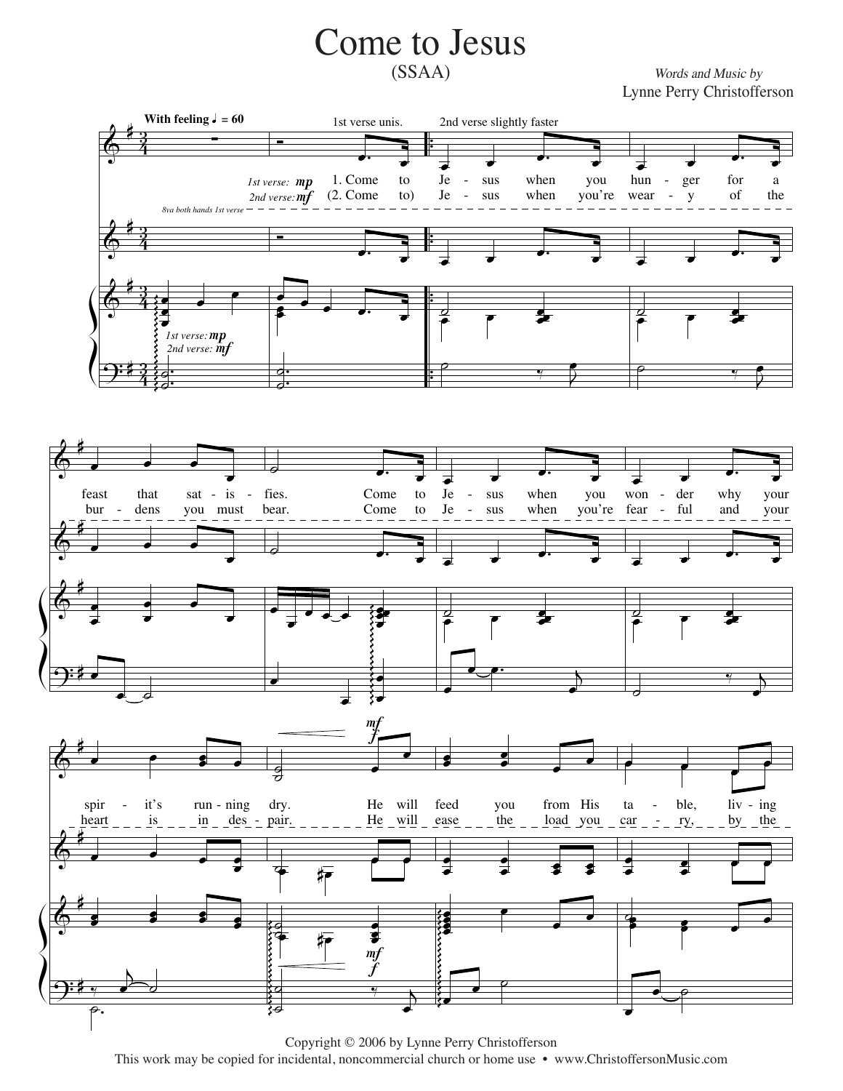## **Come to Jesus**  $(SSAA)$

Words and Music by Lynne Perry Christofferson







Copyright © 2006 by Lynne Perry Christofferson This work may be copied for incidental, noncommercial church or home use • www.ChristoffersonMusic.com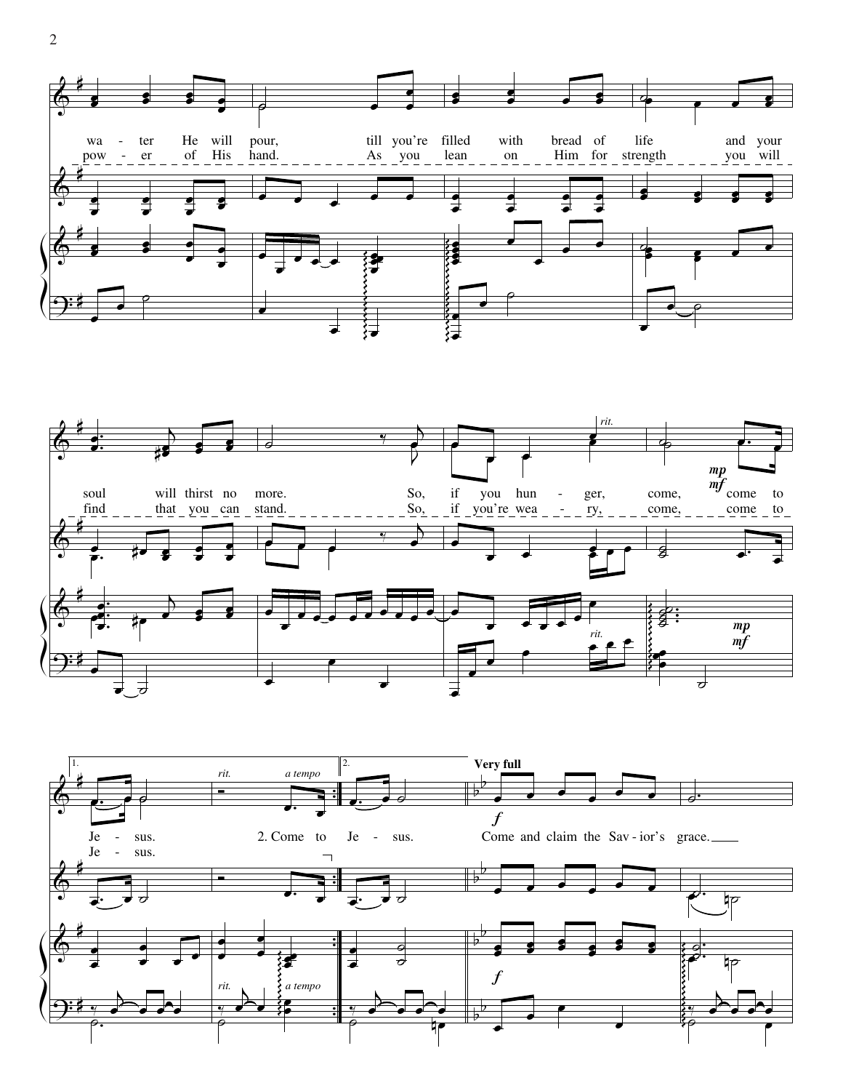



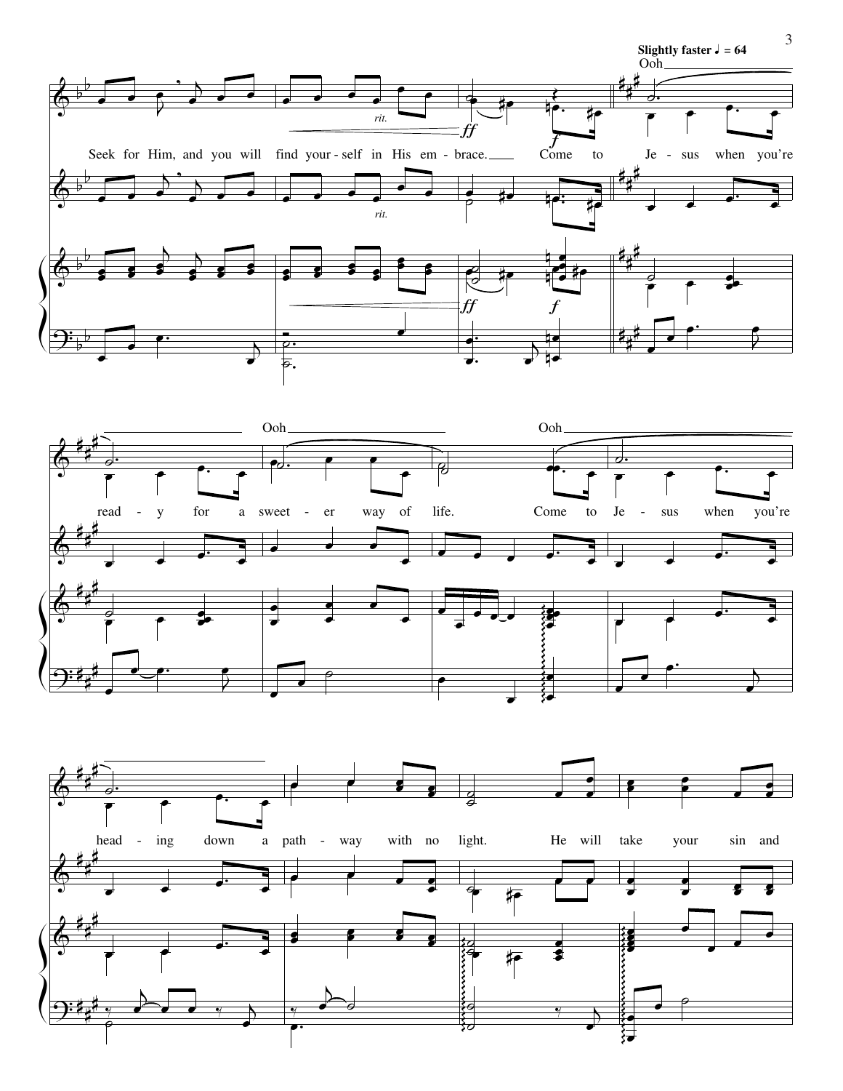





3